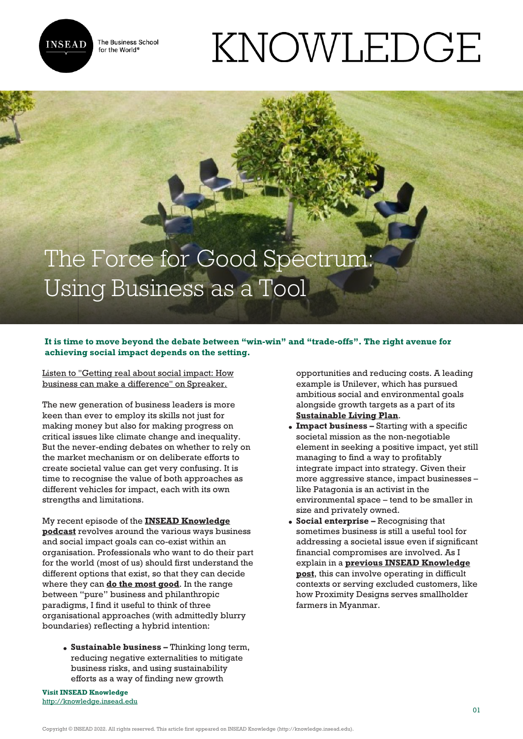

The Business School for the World<sup>®</sup>

# KNOWLEDGE

# The Force for Good Spectrum: Using Business as a Tool

## **It is time to move beyond the debate between "win-win" and "trade-offs". The right avenue for achieving social impact depends on the setting.**

[Listen to "Getting real about social impact: How](https://www.spreaker.com/episode/22464741) [business can make a difference" on Spreaker.](https://www.spreaker.com/episode/22464741)

The new generation of business leaders is more keen than ever to employ its skills not just for making money but also for making progress on critical issues like climate change and inequality. But the never-ending debates on whether to rely on the market mechanism or on deliberate efforts to create societal value can get very confusing. It is time to recognise the value of both approaches as different vehicles for impact, each with its own strengths and limitations.

#### My recent episode of the **[INSEAD Knowledge](https://www.spreaker.com/user/inseadknowledge)**

**[podcast](https://www.spreaker.com/user/inseadknowledge)** revolves around the various ways business and social impact goals can co-exist within an organisation. Professionals who want to do their part for the world (most of us) should first understand the different options that exist, so that they can decide where they can **[do the most good](https://knowledge.insead.edu/responsibility/from-good-intentions-to-maximising-your-impact-12591)**. In the range between "pure" business and philanthropic paradigms, I find it useful to think of three organisational approaches (with admittedly blurry boundaries) reflecting a hybrid intention:

**Sustainable business –** Thinking long term, reducing negative externalities to mitigate business risks, and using sustainability efforts as a way of finding new growth

**Visit INSEAD Knowledge** http://knowledge.insead.edu opportunities and reducing costs. A leading example is Unilever, which has pursued ambitious social and environmental goals alongside growth targets as a part of its **[Sustainable Living Plan](https://www.unilever.com/sustainable-living/)**.

- **Impact business** Starting with a specific societal mission as the non-negotiable element in seeking a positive impact, yet still managing to find a way to profitably integrate impact into strategy. Given their more aggressive stance, impact businesses – like Patagonia is an activist in the environmental space – tend to be smaller in size and privately owned.
- **Social enterprise –** Recognising that sometimes business is still a useful tool for addressing a societal issue even if significant financial compromises are involved. As I explain in a **[previous INSEAD Knowledge](https://knowledge.insead.edu/blog/insead-blog/why-social-enterprises-still-matter-in-an-age-of-win-win-13091) [post](https://knowledge.insead.edu/blog/insead-blog/why-social-enterprises-still-matter-in-an-age-of-win-win-13091)**, this can involve operating in difficult contexts or serving excluded customers, like how Proximity Designs serves smallholder farmers in Myanmar.

Copyright © INSEAD 2022. All rights reserved. This article first appeared on INSEAD Knowledge (http://knowledge.insead.edu).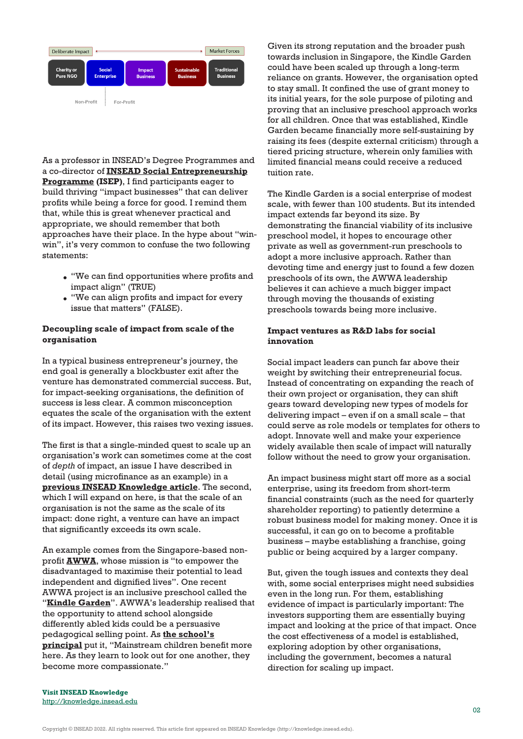

As a professor in INSEAD's Degree Programmes and a co-director of **[INSEAD Social Entrepreneurship](https://www.insead.edu/executive-education/entrepreneurship-family-business/social-entrepreneurship-programme) [Programme](https://www.insead.edu/executive-education/entrepreneurship-family-business/social-entrepreneurship-programme) (ISEP)**, I find participants eager to build thriving "impact businesses" that can deliver profits while being a force for good. I remind them that, while this is great whenever practical and [appropriate, we should](http://knowledge.insead.edu) remember that both approaches have their place. In the hype about "winwin", it's very common to confuse the two following statements:

- "We can find opportunities where profits and impact align" (TRUE)
- "We can align profits and impact for every issue that matters" (FALSE).

#### **Decoupling scale of impact from scale of the organisation**

In a typical business entrepreneur's journey, the end goal is generally a blockbuster exit after the venture has demonstrated commercial success. But, for impact-seeking organisations, the definition of success is less clear. A common misconception equates the scale of the organisation with the extent of its impact. However, this raises two vexing issues.

The first is that a single-minded quest to scale up an organisation's work can sometimes come at the cost of *depth* of impact, an issue I have described in detail (using microfinance as an example) in a **[previous INSEAD Knowledge article](https://knowledge.insead.edu/responsibility/crowdfunding-for-impact-12456)**. The second, which I will expand on here, is that the scale of an organisation is not the same as the scale of its impact: done right, a venture can have an impact that significantly exceeds its own scale.

An example comes from the Singapore-based nonprofit **[AWWA](https://www.awwa.org.sg/)**, whose mission is "to empower the disadvantaged to maximise their potential to lead independent and dignified lives". One recent AWWA project is an inclusive preschool called the "**[Kindle Garden](https://www.kindlegarden.com.sg/)**". AWWA's leadership realised that the opportunity to attend school alongside differently abled kids could be a persuasive pedagogical selling point. As **[the school's](https://www.straitstimes.com/singapore/education/catering-to-children-of-different-needs) [principal](https://www.straitstimes.com/singapore/education/catering-to-children-of-different-needs)** put it, "Mainstream children benefit more here. As they learn to look out for one another, they become more compassionate."

Given its strong reputation and the broader push towards inclusion in Singapore, the Kindle Garden could have been scaled up through a long-term reliance on grants. However, the organisation opted to stay small. It confined the use of grant money to its initial years, for the sole purpose of piloting and proving that an inclusive preschool approach works for all children. Once that was established, Kindle Garden became financially more self-sustaining by raising its fees (despite external criticism) through a tiered pricing structure, wherein only families with limited financial means could receive a reduced tuition rate.

The Kindle Garden is a social enterprise of modest scale, with fewer than 100 students. But its intended impact extends far beyond its size. By demonstrating the financial viability of its inclusive preschool model, it hopes to encourage other private as well as government-run preschools to adopt a more inclusive approach. Rather than devoting time and energy just to found a few dozen preschools of its own, the AWWA leadership believes it can achieve a much bigger impact through moving the thousands of existing preschools towards being more inclusive.

### **Impact ventures as R&D labs for social innovation**

Social impact leaders can punch far above their weight by switching their entrepreneurial focus. Instead of concentrating on expanding the reach of their own project or organisation, they can shift gears toward developing new types of models for delivering impact – even if on a small scale – that could serve as role models or templates for others to adopt. Innovate well and make your experience widely available then scale of impact will naturally follow without the need to grow your organisation.

An impact business might start off more as a social enterprise, using its freedom from short-term financial constraints (such as the need for quarterly shareholder reporting) to patiently determine a robust business model for making money. Once it is successful, it can go on to become a profitable business – maybe establishing a franchise, going public or being acquired by a larger company.

But, given the tough issues and contexts they deal with, some social enterprises might need subsidies even in the long run. For them, establishing evidence of impact is particularly important: The investors supporting them are essentially buying impact and looking at the price of that impact. Once the cost effectiveness of a model is established, exploring adoption by other organisations, including the government, becomes a natural direction for scaling up impact.

**Visit INSEAD Knowledge** <http://knowledge.insead.edu>

Copyright © INSEAD 2022. All rights reserved. This article first appeared on INSEAD Knowledge (http://knowledge.insead.edu).